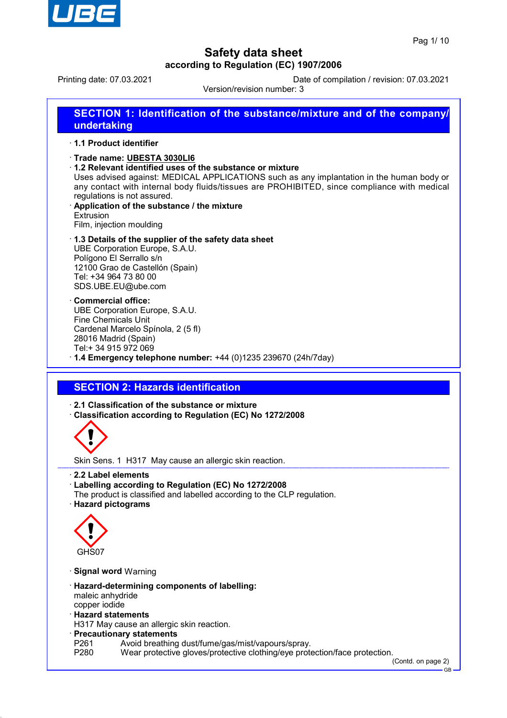

Printing date: 07.03.2021 Date of compilation / revision: 07.03.2021

Version/revision number: 3

**SECTION 1: Identification of the substance/mixture and of the company/ undertaking**

#### · **1.1 Product identifier**

- · **Trade name: UBESTA 3030LI6**
- · **1.2 Relevant identified uses of the substance or mixture**
- Uses advised against: MEDICAL APPLICATIONS such as any implantation in the human body or any contact with internal body fluids/tissues are PROHIBITED, since compliance with medical regulations is not assured.
- · **Application of the substance / the mixture** Extrusion

Film, injection moulding

· **1.3 Details of the supplier of the safety data sheet**

UBE Corporation Europe, S.A.U. Polígono El Serrallo s/n 12100 Grao de Castellón (Spain) Tel: +34 964 73 80 00 SDS.UBE.EU@ube.com

- · **Commercial office:** UBE Corporation Europe, S.A.U. Fine Chemicals Unit Cardenal Marcelo Spínola, 2 (5 fl) 28016 Madrid (Spain) Tel:+ 34 915 972 069
- · **1.4 Emergency telephone number:** +44 (0)1235 239670 (24h/7day)

## **SECTION 2: Hazards identification**

· **2.1 Classification of the substance or mixture**

· **Classification according to Regulation (EC) No 1272/2008**



Skin Sens. 1 H317 May cause an allergic skin reaction.

- · **2.2 Label elements**
- · **Labelling according to Regulation (EC) No 1272/2008**
- The product is classified and labelled according to the CLP regulation.
- · **Hazard pictograms**



- · **Signal word** Warning
- · **Hazard-determining components of labelling:** maleic anhydride copper iodide
- · **Hazard statements**
- H317 May cause an allergic skin reaction.
- · **Precautionary statements**
- P261 Avoid breathing dust/fume/gas/mist/vapours/spray.
- P280 Wear protective gloves/protective clothing/eye protection/face protection.

(Contd. on page 2) GB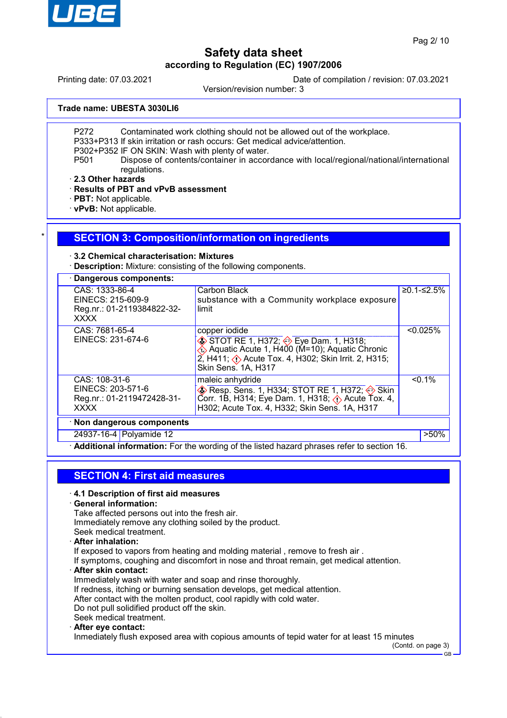

Printing date: 07.03.2021 Date of compilation / revision: 07.03.2021

Version/revision number: 3

**Trade name: UBESTA 3030LI6**

P272 Contaminated work clothing should not be allowed out of the workplace.

P333+P313 If skin irritation or rash occurs: Get medical advice/attention.

P302+P352 IF ON SKIN: Wash with plenty of water.

P501 Dispose of contents/container in accordance with local/regional/national/international regulations.

· **2.3 Other hazards**

· **Results of PBT and vPvB assessment**

· **PBT:** Not applicable.

· **vPvB:** Not applicable.

#### **SECTION 3: Composition/information on ingredients**

#### · **3.2 Chemical characterisation: Mixtures**

· **Description:** Mixture: consisting of the following components.

| · Dangerous components:                                                          |                                                                                                                                                                                                             |            |
|----------------------------------------------------------------------------------|-------------------------------------------------------------------------------------------------------------------------------------------------------------------------------------------------------------|------------|
| CAS: 1333-86-4<br>EINECS: 215-609-9<br>Reg.nr.: 01-2119384822-32-<br><b>XXXX</b> | Carbon Black<br>substance with a Community workplace exposure<br>limit                                                                                                                                      | ≥0.1-≤2.5% |
| CAS: 7681-65-4<br>EINECS: 231-674-6                                              | copper iodide<br>STOT RE 1, H372; Seye Dam. 1, H318;<br>Aquatic Acute 1, H400 (M=10); Aquatic Chronic<br>2, H411; $\Diamond$ Acute Tox. 4, H302; Skin Irrit. 2, H315;<br>Skin Sens. 1A, H317                | < 0.025%   |
| CAS: 108-31-6<br>EINECS: 203-571-6<br>Reg.nr.: 01-2119472428-31-<br><b>XXXX</b>  | maleic anhydride<br>$\diamondsuit$ Resp. Sens. 1, H334; STOT RE 1, H372; $\diamondsuit$ Skin<br>Corr. 1B, H314; Eye Dam. 1, H318; $\Diamond$ Acute Tox. 4,<br>H302; Acute Tox. 4, H332; Skin Sens. 1A, H317 | $< 0.1\%$  |
| · Non dangerous components                                                       |                                                                                                                                                                                                             |            |
| 24937-16-4 Polyamide 12                                                          |                                                                                                                                                                                                             | $>50\%$    |

Additional information: For the wording of the listed hazard phrases refer to section 16.

# **SECTION 4: First aid measures**

#### · **4.1 Description of first aid measures**

· **General information:**

Take affected persons out into the fresh air.

Immediately remove any clothing soiled by the product.

Seek medical treatment.

### · **After inhalation:**

If exposed to vapors from heating and molding material , remove to fresh air .

If symptoms, coughing and discomfort in nose and throat remain, get medical attention.

· **After skin contact:**

Immediately wash with water and soap and rinse thoroughly.

If redness, itching or burning sensation develops, get medical attention.

After contact with the molten product, cool rapidly with cold water.

Do not pull solidified product off the skin.

### Seek medical treatment.

### · **After eye contact:**

Inmediately flush exposed area with copious amounts of tepid water for at least 15 minutes

(Contd. on page 3)

GB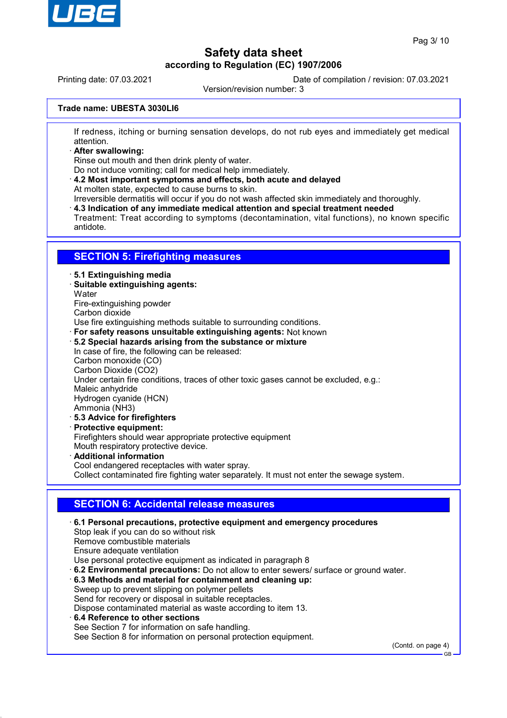

Printing date: 07.03.2021 Date of compilation / revision: 07.03.2021

Version/revision number: 3

#### **Trade name: UBESTA 3030LI6**

If redness, itching or burning sensation develops, do not rub eyes and immediately get medical attention.

· **After swallowing:**

Rinse out mouth and then drink plenty of water.

Do not induce vomiting; call for medical help immediately.

· **4.2 Most important symptoms and effects, both acute and delayed** At molten state, expected to cause burns to skin.

Irreversible dermatitis will occur if you do not wash affected skin immediately and thoroughly.

· **4.3 Indication of any immediate medical attention and special treatment needed**

Treatment: Treat according to symptoms (decontamination, vital functions), no known specific antidote.

### **SECTION 5: Firefighting measures**

#### · **5.1 Extinguishing media**

- · **Suitable extinguishing agents:**
- **Water**
- Fire-extinguishing powder
- Carbon dioxide

Use fire extinguishing methods suitable to surrounding conditions.

- · **For safety reasons unsuitable extinguishing agents:** Not known
- · **5.2 Special hazards arising from the substance or mixture**
- In case of fire, the following can be released: Carbon monoxide (CO) Carbon Dioxide (CO2) Under certain fire conditions, traces of other toxic gases cannot be excluded, e.g.: Maleic anhydride Hydrogen cyanide (HCN) Ammonia (NH3) · **5.3 Advice for firefighters**
- · **Protective equipment:** Firefighters should wear appropriate protective equipment Mouth respiratory protective device. · **Additional information** Cool endangered receptacles with water spray.

Collect contaminated fire fighting water separately. It must not enter the sewage system.

## **SECTION 6: Accidental release measures**

· **6.1 Personal precautions, protective equipment and emergency procedures** Stop leak if you can do so without risk Remove combustible materials Ensure adequate ventilation Use personal protective equipment as indicated in paragraph 8 · **6.2 Environmental precautions:** Do not allow to enter sewers/ surface or ground water. · **6.3 Methods and material for containment and cleaning up:** Sweep up to prevent slipping on polymer pellets Send for recovery or disposal in suitable receptacles. Dispose contaminated material as waste according to item 13. · **6.4 Reference to other sections** See Section 7 for information on safe handling. See Section 8 for information on personal protection equipment.

(Contd. on page 4)

GB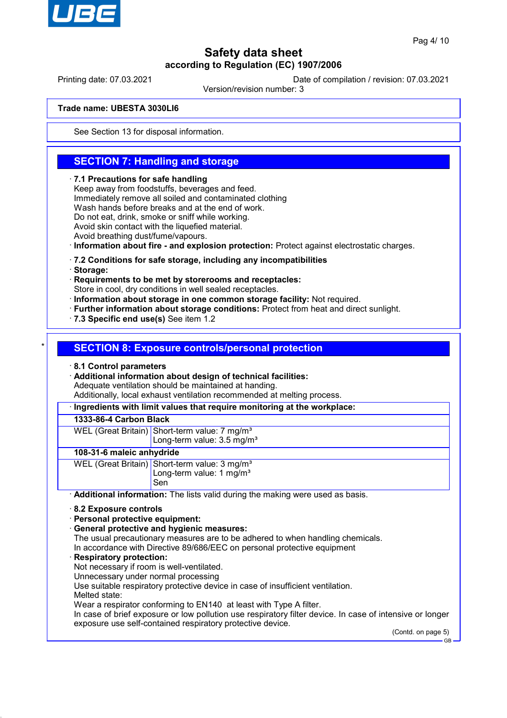

Printing date: 07.03.2021 Date of compilation / revision: 07.03.2021

Version/revision number: 3

#### **Trade name: UBESTA 3030LI6**

See Section 13 for disposal information.

## **SECTION 7: Handling and storage**

#### · **7.1 Precautions for safe handling**

Keep away from foodstuffs, beverages and feed. Immediately remove all soiled and contaminated clothing Wash hands before breaks and at the end of work. Do not eat, drink, smoke or sniff while working. Avoid skin contact with the liquefied material.

Avoid breathing dust/fume/vapours.

· **Information about fire - and explosion protection:** Protect against electrostatic charges.

- · **7.2 Conditions for safe storage, including any incompatibilities**
- · **Storage:**

· **Requirements to be met by storerooms and receptacles:**

Store in cool, dry conditions in well sealed receptacles.

- · **Information about storage in one common storage facility:** Not required.
- · **Further information about storage conditions:** Protect from heat and direct sunlight.
- · **7.3 Specific end use(s)** See item 1.2

#### **SECTION 8: Exposure controls/personal protection**

· **8.1 Control parameters**

· **Additional information about design of technical facilities:** Adequate ventilation should be maintained at handing.

Additionally, local exhaust ventilation recommended at melting process.

· **Ingredients with limit values that require monitoring at the workplace:**

#### **1333-86-4 Carbon Black**

WEL (Great Britain) Short-term value: 7 mg/m<sup>3</sup> Long-term value: 3.5 mg/m<sup>3</sup>

#### **108-31-6 maleic anhydride**

| WEL (Great Britain) Short-term value: 3 mg/m <sup>3</sup> |
|-----------------------------------------------------------|
| Long-term value: $1 \text{ mg/m}^3$                       |
| Sen                                                       |

· **Additional information:** The lists valid during the making were used as basis.

- · **8.2 Exposure controls**
- · **Personal protective equipment:**
- · **General protective and hygienic measures:**

The usual precautionary measures are to be adhered to when handling chemicals. In accordance with Directive 89/686/EEC on personal protective equipment

#### · **Respiratory protection:**

Not necessary if room is well-ventilated.

Unnecessary under normal processing

Use suitable respiratory protective device in case of insufficient ventilation.

Melted state:

Wear a respirator conforming to EN140 at least with Type A filter.

In case of brief exposure or low pollution use respiratory filter device. In case of intensive or longer exposure use self-contained respiratory protective device.

(Contd. on page 5)

GB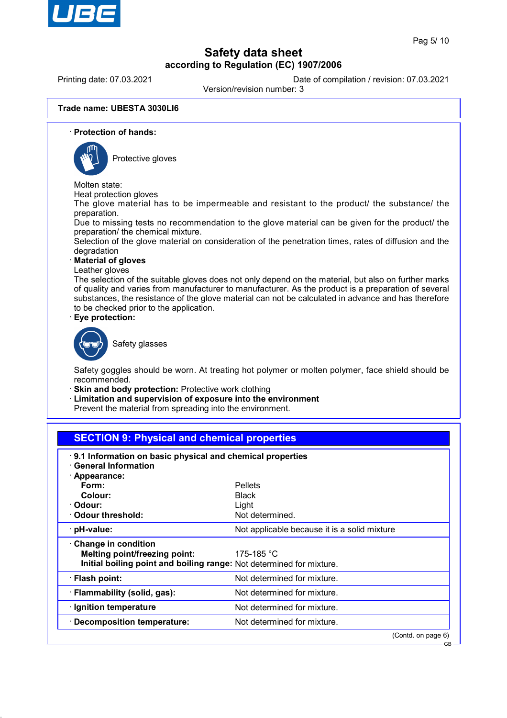

Printing date: 07.03.2021 Date of compilation / revision: 07.03.2021

Version/revision number: 3

#### **Trade name: UBESTA 3030LI6**

· **Protection of hands:**



Protective gloves

Molten state:

Heat protection gloves

The glove material has to be impermeable and resistant to the product/ the substance/ the preparation.

Due to missing tests no recommendation to the glove material can be given for the product/ the preparation/ the chemical mixture.

Selection of the glove material on consideration of the penetration times, rates of diffusion and the degradation

· **Material of gloves**

Leather gloves

The selection of the suitable gloves does not only depend on the material, but also on further marks of quality and varies from manufacturer to manufacturer. As the product is a preparation of several substances, the resistance of the glove material can not be calculated in advance and has therefore to be checked prior to the application.

· **Eye protection:**



Safety glasses

Safety goggles should be worn. At treating hot polymer or molten polymer, face shield should be recommended.

· **Skin and body protection:** Protective work clothing

· **Limitation and supervision of exposure into the environment**

Prevent the material from spreading into the environment.

## **SECTION 9: Physical and chemical properties**

| 9.1 Information on basic physical and chemical properties<br>· General Information<br>· Appearance:                          |                                              |
|------------------------------------------------------------------------------------------------------------------------------|----------------------------------------------|
| Form:                                                                                                                        | <b>Pellets</b>                               |
| Colour:                                                                                                                      | <b>Black</b>                                 |
| · Odour:                                                                                                                     | Light                                        |
| Odour threshold:                                                                                                             | Not determined.                              |
| $\cdot$ pH-value:                                                                                                            | Not applicable because it is a solid mixture |
| Change in condition<br>Melting point/freezing point:<br>Initial boiling point and boiling range: Not determined for mixture. | 175-185 $^{\circ}$ C                         |
| · Flash point:                                                                                                               | Not determined for mixture.                  |
| · Flammability (solid, gas):                                                                                                 | Not determined for mixture.                  |
| · Ignition temperature                                                                                                       | Not determined for mixture.                  |
| · Decomposition temperature:                                                                                                 | Not determined for mixture.                  |
|                                                                                                                              | (Contd. on page 6)                           |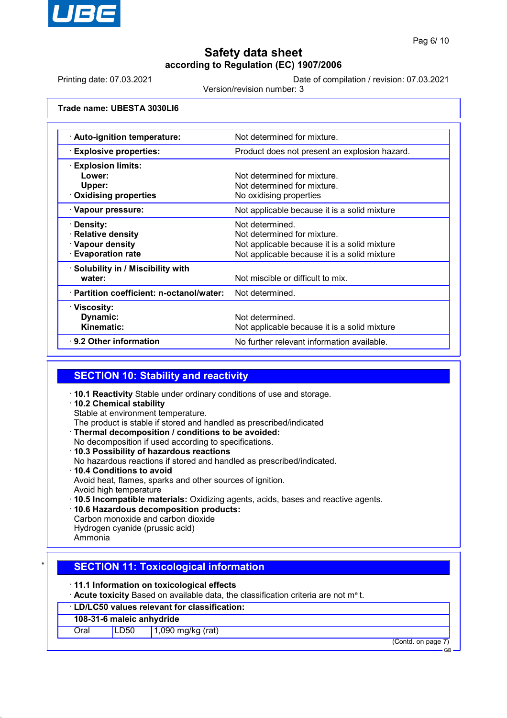

Printing date: 07.03.2021 Date of compilation / revision: 07.03.2021

Version/revision number: 3

**Trade name: UBESTA 3030LI6**

| · Auto-ignition temperature:              | Not determined for mixture.                   |
|-------------------------------------------|-----------------------------------------------|
| <b>Explosive properties:</b>              | Product does not present an explosion hazard. |
| $\cdot$ Explosion limits:                 |                                               |
| Lower:                                    | Not determined for mixture.                   |
| Upper:                                    | Not determined for mixture.                   |
| $\cdot$ Oxidising properties              | No oxidising properties                       |
| · Vapour pressure:                        | Not applicable because it is a solid mixture  |
| · Density:                                | Not determined.                               |
| · Relative density                        | Not determined for mixture.                   |
| · Vapour density                          | Not applicable because it is a solid mixture  |
| <b>Evaporation rate</b>                   | Not applicable because it is a solid mixture  |
| · Solubility in / Miscibility with        |                                               |
| water:                                    | Not miscible or difficult to mix.             |
| · Partition coefficient: n-octanol/water: | Not determined.                               |
| · Viscosity:                              |                                               |
| Dynamic:                                  | Not determined.                               |
| Kinematic:                                | Not applicable because it is a solid mixture  |
| $\cdot$ 9.2 Other information             | No further relevant information available.    |
|                                           |                                               |

## **SECTION 10: Stability and reactivity**

- · **10.1 Reactivity** Stable under ordinary conditions of use and storage.
- · **10.2 Chemical stability** Stable at environment temperature.
- The product is stable if stored and handled as prescribed/indicated
- · **Thermal decomposition / conditions to be avoided:**
- No decomposition if used according to specifications.
- · **10.3 Possibility of hazardous reactions** No hazardous reactions if stored and handled as prescribed/indicated.
- · **10.4 Conditions to avoid** Avoid heat, flames, sparks and other sources of ignition. Avoid high temperature
- · **10.5 Incompatible materials:** Oxidizing agents, acids, bases and reactive agents.
- · **10.6 Hazardous decomposition products:** Carbon monoxide and carbon dioxide Hydrogen cyanide (prussic acid)

#### Ammonia

## **SECTION 11: Toxicological information**

· **11.1 Information on toxicological effects**

· **Acute toxicity** Based on available data, the classification criteria are not m<sup>e</sup> t.

#### · **LD/LC50 values relevant for classification:**

#### **108-31-6 maleic anhydride**

Oral LD50 1,090 mg/kg (rat)

(Contd. on page 7)

GB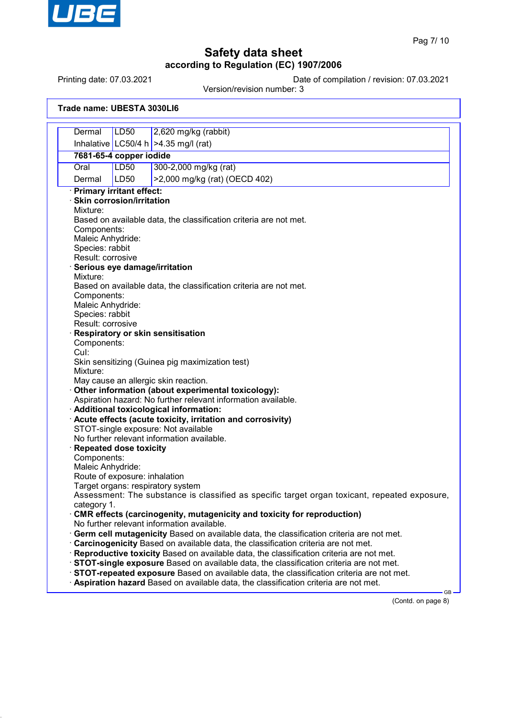

Printing date: 07.03.2021 Date of compilation / revision: 07.03.2021

Version/revision number: 3

|  | Trade name: UBESTA 3030LI6 |
|--|----------------------------|
|--|----------------------------|

| 2,620 mg/kg (rabbit)<br>Dermal<br>LD50<br>Inhalative LC50/4 h   > 4.35 mg/l (rat)<br>7681-65-4 copper iodide<br><b>LD50</b><br>Oral<br>300-2,000 mg/kg (rat)<br>>2,000 mg/kg (rat) (OECD 402)<br>Dermal<br>LD50<br>· Primary irritant effect:<br><b>Skin corrosion/irritation</b>                                                                                                                                                                                                                                                                                                                                                                                                                                                                                                                                                                                                                                                                                                                                                                                                                                                                                                                                                                                                                                                                                                                                           |
|-----------------------------------------------------------------------------------------------------------------------------------------------------------------------------------------------------------------------------------------------------------------------------------------------------------------------------------------------------------------------------------------------------------------------------------------------------------------------------------------------------------------------------------------------------------------------------------------------------------------------------------------------------------------------------------------------------------------------------------------------------------------------------------------------------------------------------------------------------------------------------------------------------------------------------------------------------------------------------------------------------------------------------------------------------------------------------------------------------------------------------------------------------------------------------------------------------------------------------------------------------------------------------------------------------------------------------------------------------------------------------------------------------------------------------|
|                                                                                                                                                                                                                                                                                                                                                                                                                                                                                                                                                                                                                                                                                                                                                                                                                                                                                                                                                                                                                                                                                                                                                                                                                                                                                                                                                                                                                             |
| Mixture:<br>Based on available data, the classification criteria are not met.<br>Components:<br>Maleic Anhydride:<br>Species: rabbit<br>Result: corrosive<br>Serious eye damage/irritation<br>Mixture:<br>Based on available data, the classification criteria are not met.<br>Components:<br>Maleic Anhydride:<br>Species: rabbit<br>Result: corrosive<br><b>Respiratory or skin sensitisation</b><br>Components:<br>Cul:<br>Skin sensitizing (Guinea pig maximization test)<br>Mixture:<br>May cause an allergic skin reaction.<br>Other information (about experimental toxicology):<br>Aspiration hazard: No further relevant information available.<br>· Additional toxicological information:<br>Acute effects (acute toxicity, irritation and corrosivity)<br>STOT-single exposure: Not available<br>No further relevant information available.<br><b>Repeated dose toxicity</b><br>Components:<br>Maleic Anhydride:<br>Route of exposure: inhalation<br>Target organs: respiratory system<br>Assessment: The substance is classified as specific target organ toxicant, repeated exposure,<br>category 1.<br>CMR effects (carcinogenity, mutagenicity and toxicity for reproduction)<br>No further relevant information available.<br>Germ cell mutagenicity Based on available data, the classification criteria are not met.<br>Carcinogenicity Based on available data, the classification criteria are not met. |
|                                                                                                                                                                                                                                                                                                                                                                                                                                                                                                                                                                                                                                                                                                                                                                                                                                                                                                                                                                                                                                                                                                                                                                                                                                                                                                                                                                                                                             |
|                                                                                                                                                                                                                                                                                                                                                                                                                                                                                                                                                                                                                                                                                                                                                                                                                                                                                                                                                                                                                                                                                                                                                                                                                                                                                                                                                                                                                             |
|                                                                                                                                                                                                                                                                                                                                                                                                                                                                                                                                                                                                                                                                                                                                                                                                                                                                                                                                                                                                                                                                                                                                                                                                                                                                                                                                                                                                                             |
|                                                                                                                                                                                                                                                                                                                                                                                                                                                                                                                                                                                                                                                                                                                                                                                                                                                                                                                                                                                                                                                                                                                                                                                                                                                                                                                                                                                                                             |
|                                                                                                                                                                                                                                                                                                                                                                                                                                                                                                                                                                                                                                                                                                                                                                                                                                                                                                                                                                                                                                                                                                                                                                                                                                                                                                                                                                                                                             |
|                                                                                                                                                                                                                                                                                                                                                                                                                                                                                                                                                                                                                                                                                                                                                                                                                                                                                                                                                                                                                                                                                                                                                                                                                                                                                                                                                                                                                             |
|                                                                                                                                                                                                                                                                                                                                                                                                                                                                                                                                                                                                                                                                                                                                                                                                                                                                                                                                                                                                                                                                                                                                                                                                                                                                                                                                                                                                                             |
|                                                                                                                                                                                                                                                                                                                                                                                                                                                                                                                                                                                                                                                                                                                                                                                                                                                                                                                                                                                                                                                                                                                                                                                                                                                                                                                                                                                                                             |
|                                                                                                                                                                                                                                                                                                                                                                                                                                                                                                                                                                                                                                                                                                                                                                                                                                                                                                                                                                                                                                                                                                                                                                                                                                                                                                                                                                                                                             |
|                                                                                                                                                                                                                                                                                                                                                                                                                                                                                                                                                                                                                                                                                                                                                                                                                                                                                                                                                                                                                                                                                                                                                                                                                                                                                                                                                                                                                             |
|                                                                                                                                                                                                                                                                                                                                                                                                                                                                                                                                                                                                                                                                                                                                                                                                                                                                                                                                                                                                                                                                                                                                                                                                                                                                                                                                                                                                                             |
|                                                                                                                                                                                                                                                                                                                                                                                                                                                                                                                                                                                                                                                                                                                                                                                                                                                                                                                                                                                                                                                                                                                                                                                                                                                                                                                                                                                                                             |
|                                                                                                                                                                                                                                                                                                                                                                                                                                                                                                                                                                                                                                                                                                                                                                                                                                                                                                                                                                                                                                                                                                                                                                                                                                                                                                                                                                                                                             |
|                                                                                                                                                                                                                                                                                                                                                                                                                                                                                                                                                                                                                                                                                                                                                                                                                                                                                                                                                                                                                                                                                                                                                                                                                                                                                                                                                                                                                             |
|                                                                                                                                                                                                                                                                                                                                                                                                                                                                                                                                                                                                                                                                                                                                                                                                                                                                                                                                                                                                                                                                                                                                                                                                                                                                                                                                                                                                                             |
|                                                                                                                                                                                                                                                                                                                                                                                                                                                                                                                                                                                                                                                                                                                                                                                                                                                                                                                                                                                                                                                                                                                                                                                                                                                                                                                                                                                                                             |
|                                                                                                                                                                                                                                                                                                                                                                                                                                                                                                                                                                                                                                                                                                                                                                                                                                                                                                                                                                                                                                                                                                                                                                                                                                                                                                                                                                                                                             |
|                                                                                                                                                                                                                                                                                                                                                                                                                                                                                                                                                                                                                                                                                                                                                                                                                                                                                                                                                                                                                                                                                                                                                                                                                                                                                                                                                                                                                             |
|                                                                                                                                                                                                                                                                                                                                                                                                                                                                                                                                                                                                                                                                                                                                                                                                                                                                                                                                                                                                                                                                                                                                                                                                                                                                                                                                                                                                                             |
|                                                                                                                                                                                                                                                                                                                                                                                                                                                                                                                                                                                                                                                                                                                                                                                                                                                                                                                                                                                                                                                                                                                                                                                                                                                                                                                                                                                                                             |
|                                                                                                                                                                                                                                                                                                                                                                                                                                                                                                                                                                                                                                                                                                                                                                                                                                                                                                                                                                                                                                                                                                                                                                                                                                                                                                                                                                                                                             |
|                                                                                                                                                                                                                                                                                                                                                                                                                                                                                                                                                                                                                                                                                                                                                                                                                                                                                                                                                                                                                                                                                                                                                                                                                                                                                                                                                                                                                             |
|                                                                                                                                                                                                                                                                                                                                                                                                                                                                                                                                                                                                                                                                                                                                                                                                                                                                                                                                                                                                                                                                                                                                                                                                                                                                                                                                                                                                                             |
|                                                                                                                                                                                                                                                                                                                                                                                                                                                                                                                                                                                                                                                                                                                                                                                                                                                                                                                                                                                                                                                                                                                                                                                                                                                                                                                                                                                                                             |
|                                                                                                                                                                                                                                                                                                                                                                                                                                                                                                                                                                                                                                                                                                                                                                                                                                                                                                                                                                                                                                                                                                                                                                                                                                                                                                                                                                                                                             |
|                                                                                                                                                                                                                                                                                                                                                                                                                                                                                                                                                                                                                                                                                                                                                                                                                                                                                                                                                                                                                                                                                                                                                                                                                                                                                                                                                                                                                             |
|                                                                                                                                                                                                                                                                                                                                                                                                                                                                                                                                                                                                                                                                                                                                                                                                                                                                                                                                                                                                                                                                                                                                                                                                                                                                                                                                                                                                                             |
|                                                                                                                                                                                                                                                                                                                                                                                                                                                                                                                                                                                                                                                                                                                                                                                                                                                                                                                                                                                                                                                                                                                                                                                                                                                                                                                                                                                                                             |
|                                                                                                                                                                                                                                                                                                                                                                                                                                                                                                                                                                                                                                                                                                                                                                                                                                                                                                                                                                                                                                                                                                                                                                                                                                                                                                                                                                                                                             |
|                                                                                                                                                                                                                                                                                                                                                                                                                                                                                                                                                                                                                                                                                                                                                                                                                                                                                                                                                                                                                                                                                                                                                                                                                                                                                                                                                                                                                             |
|                                                                                                                                                                                                                                                                                                                                                                                                                                                                                                                                                                                                                                                                                                                                                                                                                                                                                                                                                                                                                                                                                                                                                                                                                                                                                                                                                                                                                             |
|                                                                                                                                                                                                                                                                                                                                                                                                                                                                                                                                                                                                                                                                                                                                                                                                                                                                                                                                                                                                                                                                                                                                                                                                                                                                                                                                                                                                                             |
|                                                                                                                                                                                                                                                                                                                                                                                                                                                                                                                                                                                                                                                                                                                                                                                                                                                                                                                                                                                                                                                                                                                                                                                                                                                                                                                                                                                                                             |
|                                                                                                                                                                                                                                                                                                                                                                                                                                                                                                                                                                                                                                                                                                                                                                                                                                                                                                                                                                                                                                                                                                                                                                                                                                                                                                                                                                                                                             |
|                                                                                                                                                                                                                                                                                                                                                                                                                                                                                                                                                                                                                                                                                                                                                                                                                                                                                                                                                                                                                                                                                                                                                                                                                                                                                                                                                                                                                             |
|                                                                                                                                                                                                                                                                                                                                                                                                                                                                                                                                                                                                                                                                                                                                                                                                                                                                                                                                                                                                                                                                                                                                                                                                                                                                                                                                                                                                                             |
|                                                                                                                                                                                                                                                                                                                                                                                                                                                                                                                                                                                                                                                                                                                                                                                                                                                                                                                                                                                                                                                                                                                                                                                                                                                                                                                                                                                                                             |
| · Reproductive toxicity Based on available data, the classification criteria are not met.                                                                                                                                                                                                                                                                                                                                                                                                                                                                                                                                                                                                                                                                                                                                                                                                                                                                                                                                                                                                                                                                                                                                                                                                                                                                                                                                   |
| STOT-single exposure Based on available data, the classification criteria are not met.                                                                                                                                                                                                                                                                                                                                                                                                                                                                                                                                                                                                                                                                                                                                                                                                                                                                                                                                                                                                                                                                                                                                                                                                                                                                                                                                      |
| STOT-repeated exposure Based on available data, the classification criteria are not met.                                                                                                                                                                                                                                                                                                                                                                                                                                                                                                                                                                                                                                                                                                                                                                                                                                                                                                                                                                                                                                                                                                                                                                                                                                                                                                                                    |
| Aspiration hazard Based on available data, the classification criteria are not met.                                                                                                                                                                                                                                                                                                                                                                                                                                                                                                                                                                                                                                                                                                                                                                                                                                                                                                                                                                                                                                                                                                                                                                                                                                                                                                                                         |

(Contd. on page 8)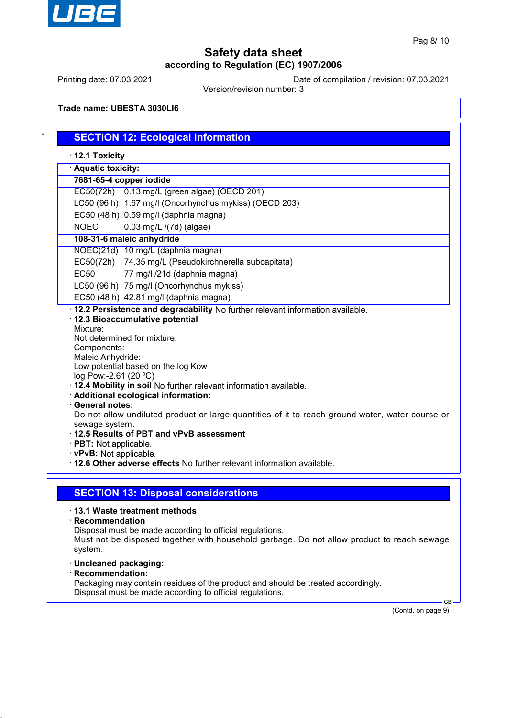

Printing date: 07.03.2021 Date of compilation / revision: 07.03.2021

Version/revision number: 3

**Trade name: UBESTA 3030LI6**

|                                                                                                                                            | 7681-65-4 copper iodide                                                                                                                                                                                                                                                                                                                                                   |
|--------------------------------------------------------------------------------------------------------------------------------------------|---------------------------------------------------------------------------------------------------------------------------------------------------------------------------------------------------------------------------------------------------------------------------------------------------------------------------------------------------------------------------|
|                                                                                                                                            | EC50(72h) 0.13 mg/L (green algae) (OECD 201)                                                                                                                                                                                                                                                                                                                              |
|                                                                                                                                            | LC50 (96 h) 1.67 mg/l (Oncorhynchus mykiss) (OECD 203)                                                                                                                                                                                                                                                                                                                    |
|                                                                                                                                            | EC50 (48 h) $0.59$ mg/l (daphnia magna)                                                                                                                                                                                                                                                                                                                                   |
| <b>NOEC</b>                                                                                                                                | 0.03 mg/L /(7d) (algae)                                                                                                                                                                                                                                                                                                                                                   |
|                                                                                                                                            | 108-31-6 maleic anhydride                                                                                                                                                                                                                                                                                                                                                 |
|                                                                                                                                            | NOEC(21d) 10 mg/L (daphnia magna)                                                                                                                                                                                                                                                                                                                                         |
| EC50(72h)                                                                                                                                  | 74.35 mg/L (Pseudokirchnerella subcapitata)                                                                                                                                                                                                                                                                                                                               |
| <b>EC50</b>                                                                                                                                | 77 mg/l /21d (daphnia magna)                                                                                                                                                                                                                                                                                                                                              |
|                                                                                                                                            | LC50 (96 h) 75 mg/l (Oncorhynchus mykiss)                                                                                                                                                                                                                                                                                                                                 |
|                                                                                                                                            | EC50 (48 h) 42.81 mg/l (daphnia magna)                                                                                                                                                                                                                                                                                                                                    |
| Maleic Anhydride:<br>log Pow:-2.61 (20 °C)<br><b>General notes:</b><br>sewage system.<br>· PBT: Not applicable.<br>· vPvB: Not applicable. | Low potential based on the log Kow<br>· 12.4 Mobility in soil No further relevant information available.<br>· Additional ecological information:<br>Do not allow undiluted product or large quantities of it to reach ground water, water course or<br>12.5 Results of PBT and vPvB assessment<br>. 12.6 Other adverse effects No further relevant information available. |
|                                                                                                                                            |                                                                                                                                                                                                                                                                                                                                                                           |
|                                                                                                                                            |                                                                                                                                                                                                                                                                                                                                                                           |

Must not be disposed together with household garbage. Do not allow product to reach sewage system.

- · **Uncleaned packaging:**
- · **Recommendation:**

Packaging may contain residues of the product and should be treated accordingly. Disposal must be made according to official regulations.

(Contd. on page 9)

GB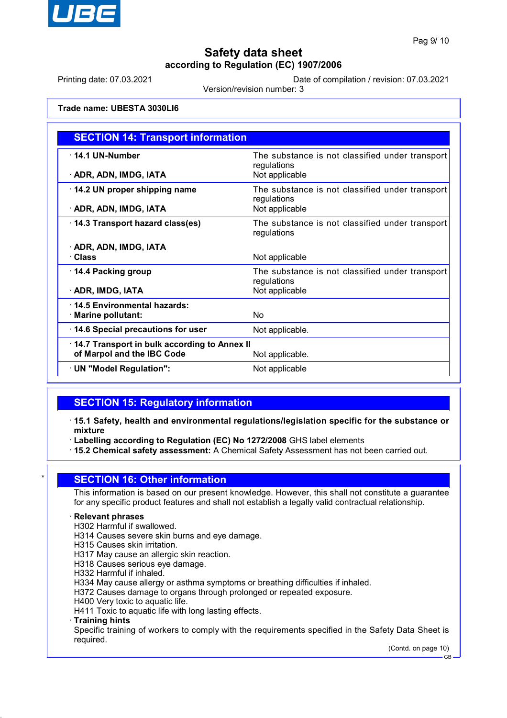

Printing date: 07.03.2021 Date of compilation / revision: 07.03.2021

Version/revision number: 3

#### **Trade name: UBESTA 3030LI6**

| <b>SECTION 14: Transport information</b>     |                                                                |
|----------------------------------------------|----------------------------------------------------------------|
| $\cdot$ 14.1 UN-Number                       | The substance is not classified under transport<br>regulations |
| · ADR, ADN, IMDG, IATA                       | Not applicable                                                 |
| 14.2 UN proper shipping name                 | The substance is not classified under transport<br>regulations |
| · ADR, ADN, IMDG, IATA                       | Not applicable                                                 |
| 14.3 Transport hazard class(es)              | The substance is not classified under transport<br>regulations |
| · ADR, ADN, IMDG, IATA                       |                                                                |
| · Class                                      | Not applicable                                                 |
| 14.4 Packing group                           | The substance is not classified under transport<br>regulations |
| · ADR, IMDG, IATA                            | Not applicable                                                 |
| 14.5 Environmental hazards:                  |                                                                |
| · Marine pollutant:                          | <b>No</b>                                                      |
| 14.6 Special precautions for user            | Not applicable.                                                |
| 14.7 Transport in bulk according to Annex II |                                                                |
| of Marpol and the IBC Code                   | Not applicable.                                                |
| $\cdot$ UN "Model Regulation":               | Not applicable                                                 |

## **SECTION 15: Regulatory information**

- · **15.1 Safety, health and environmental regulations/legislation specific for the substance or mixture**
- · **Labelling according to Regulation (EC) No 1272/2008** GHS label elements
- · **15.2 Chemical safety assessment:** A Chemical Safety Assessment has not been carried out.

## **SECTION 16: Other information**

This information is based on our present knowledge. However, this shall not constitute a guarantee for any specific product features and shall not establish a legally valid contractual relationship.

#### · **Relevant phrases**

- H302 Harmful if swallowed.
- H314 Causes severe skin burns and eye damage.
- H315 Causes skin irritation.
- H317 May cause an allergic skin reaction.
- H318 Causes serious eye damage.
- H332 Harmful if inhaled.
- H334 May cause allergy or asthma symptoms or breathing difficulties if inhaled.
- H372 Causes damage to organs through prolonged or repeated exposure.
- H400 Very toxic to aquatic life.
- H411 Toxic to aquatic life with long lasting effects.

#### · **Training hints**

Specific training of workers to comply with the requirements specified in the Safety Data Sheet is required.

> (Contd. on page 10) GB